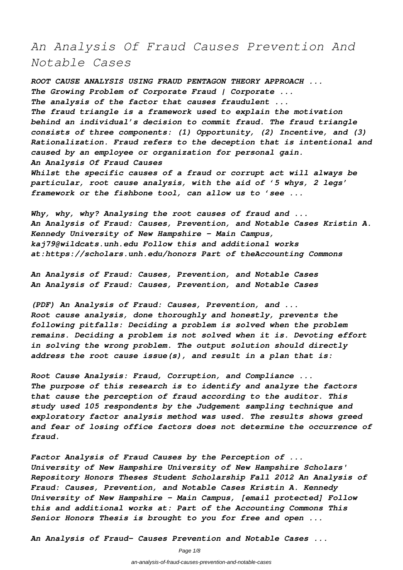# *An Analysis Of Fraud Causes Prevention And Notable Cases*

*ROOT CAUSE ANALYSIS USING FRAUD PENTAGON THEORY APPROACH ... The Growing Problem of Corporate Fraud | Corporate ... The analysis of the factor that causes fraudulent ... The fraud triangle is a framework used to explain the motivation behind an individual's decision to commit fraud. The fraud triangle consists of three components: (1) Opportunity, (2) Incentive, and (3) Rationalization. Fraud refers to the deception that is intentional and caused by an employee or organization for personal gain. An Analysis Of Fraud Causes Whilst the specific causes of a fraud or corrupt act will always be particular, root cause analysis, with the aid of '5 whys, 2 legs' framework or the fishbone tool, can allow us to 'see ...*

*Why, why, why? Analysing the root causes of fraud and ... An Analysis of Fraud: Causes, Prevention, and Notable Cases Kristin A. Kennedy University of New Hampshire - Main Campus, kaj79@wildcats.unh.edu Follow this and additional works at:https://scholars.unh.edu/honors Part of theAccounting Commons*

*An Analysis of Fraud: Causes, Prevention, and Notable Cases An Analysis of Fraud: Causes, Prevention, and Notable Cases*

*(PDF) An Analysis of Fraud: Causes, Prevention, and ... Root cause analysis, done thoroughly and honestly, prevents the following pitfalls: Deciding a problem is solved when the problem remains. Deciding a problem is not solved when it is. Devoting effort in solving the wrong problem. The output solution should directly address the root cause issue(s), and result in a plan that is:*

*Root Cause Analysis: Fraud, Corruption, and Compliance ... The purpose of this research is to identify and analyze the factors that cause the perception of fraud according to the auditor. This study used 105 respondents by the Judgement sampling technique and exploratory factor analysis method was used. The results shows greed and fear of losing office factors does not determine the occurrence of fraud.*

*Factor Analysis of Fraud Causes by the Perception of ... University of New Hampshire University of New Hampshire Scholars' Repository Honors Theses Student Scholarship Fall 2012 An Analysis of Fraud: Causes, Prevention, and Notable Cases Kristin A. Kennedy University of New Hampshire - Main Campus, [email protected] Follow this and additional works at: Part of the Accounting Commons This Senior Honors Thesis is brought to you for free and open ...*

*An Analysis of Fraud- Causes Prevention and Notable Cases ...*

Page 1/8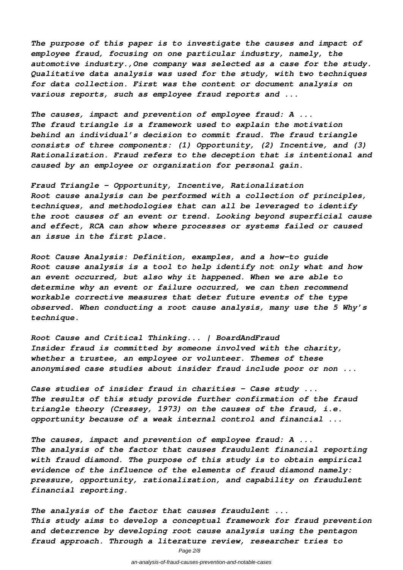*The purpose of this paper is to investigate the causes and impact of employee fraud, focusing on one particular industry, namely, the automotive industry.,One company was selected as a case for the study. Qualitative data analysis was used for the study, with two techniques for data collection. First was the content or document analysis on various reports, such as employee fraud reports and ...*

*The causes, impact and prevention of employee fraud: A ... The fraud triangle is a framework used to explain the motivation behind an individual's decision to commit fraud. The fraud triangle consists of three components: (1) Opportunity, (2) Incentive, and (3) Rationalization. Fraud refers to the deception that is intentional and caused by an employee or organization for personal gain.*

*Fraud Triangle - Opportunity, Incentive, Rationalization Root cause analysis can be performed with a collection of principles, techniques, and methodologies that can all be leveraged to identify the root causes of an event or trend. Looking beyond superficial cause and effect, RCA can show where processes or systems failed or caused an issue in the first place.*

*Root Cause Analysis: Definition, examples, and a how-to guide Root cause analysis is a tool to help identify not only what and how an event occurred, but also why it happened. When we are able to determine why an event or failure occurred, we can then recommend workable corrective measures that deter future events of the type observed. When conducting a root cause analysis, many use the 5 Why's technique.*

*Root Cause and Critical Thinking... | BoardAndFraud Insider fraud is committed by someone involved with the charity, whether a trustee, an employee or volunteer. Themes of these anonymised case studies about insider fraud include poor or non ...*

*Case studies of insider fraud in charities - Case study ... The results of this study provide further confirmation of the fraud triangle theory (Cressey, 1973) on the causes of the fraud, i.e. opportunity because of a weak internal control and financial ...*

*The causes, impact and prevention of employee fraud: A ... The analysis of the factor that causes fraudulent financial reporting with fraud diamond. The purpose of this study is to obtain empirical evidence of the influence of the elements of fraud diamond namely: pressure, opportunity, rationalization, and capability on fraudulent financial reporting.*

*The analysis of the factor that causes fraudulent ... This study aims to develop a conceptual framework for fraud prevention and deterrence by developing root cause analysis using the pentagon fraud approach. Through a literature review, researcher tries to*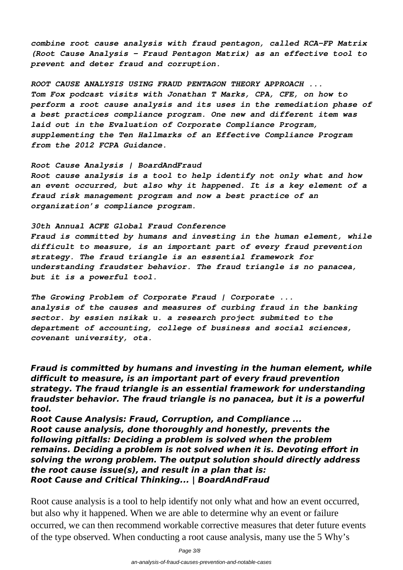*combine root cause analysis with fraud pentagon, called RCA-FP Matrix (Root Cause Analysis - Fraud Pentagon Matrix) as an effective tool to prevent and deter fraud and corruption.*

*ROOT CAUSE ANALYSIS USING FRAUD PENTAGON THEORY APPROACH ... Tom Fox podcast visits with Jonathan T Marks, CPA, CFE, on how to perform a root cause analysis and its uses in the remediation phase of a best practices compliance program. One new and different item was laid out in the Evaluation of Corporate Compliance Program, supplementing the Ten Hallmarks of an Effective Compliance Program from the 2012 FCPA Guidance.*

*Root Cause Analysis | BoardAndFraud Root cause analysis is a tool to help identify not only what and how an event occurred, but also why it happened. It is a key element of a fraud risk management program and now a best practice of an organization's compliance program.*

*30th Annual ACFE Global Fraud Conference Fraud is committed by humans and investing in the human element, while difficult to measure, is an important part of every fraud prevention strategy. The fraud triangle is an essential framework for understanding fraudster behavior. The fraud triangle is no panacea, but it is a powerful tool.*

*The Growing Problem of Corporate Fraud | Corporate ... analysis of the causes and measures of curbing fraud in the banking sector. by essien nsikak u. a research project submited to the department of accounting, college of business and social sciences, covenant university, ota.*

*Fraud is committed by humans and investing in the human element, while difficult to measure, is an important part of every fraud prevention strategy. The fraud triangle is an essential framework for understanding fraudster behavior. The fraud triangle is no panacea, but it is a powerful tool.*

*Root Cause Analysis: Fraud, Corruption, and Compliance ... Root cause analysis, done thoroughly and honestly, prevents the following pitfalls: Deciding a problem is solved when the problem remains. Deciding a problem is not solved when it is. Devoting effort in solving the wrong problem. The output solution should directly address the root cause issue(s), and result in a plan that is: Root Cause and Critical Thinking... | BoardAndFraud*

Root cause analysis is a tool to help identify not only what and how an event occurred, but also why it happened. When we are able to determine why an event or failure occurred, we can then recommend workable corrective measures that deter future events of the type observed. When conducting a root cause analysis, many use the 5 Why's

Page 3/8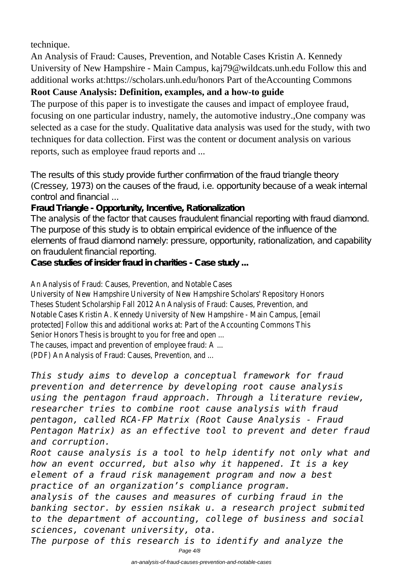technique.

An Analysis of Fraud: Causes, Prevention, and Notable Cases Kristin A. Kennedy University of New Hampshire - Main Campus, kaj79@wildcats.unh.edu Follow this and additional works at:https://scholars.unh.edu/honors Part of theAccounting Commons

#### **Root Cause Analysis: Definition, examples, and a how-to guide**

The purpose of this paper is to investigate the causes and impact of employee fraud, focusing on one particular industry, namely, the automotive industry.,One company was selected as a case for the study. Qualitative data analysis was used for the study, with two techniques for data collection. First was the content or document analysis on various reports, such as employee fraud reports and ...

The results of this study provide further confirmation of the fraud triangle theory (Cressey, 1973) on the causes of the fraud, i.e. opportunity because of a weak internal control and financial ...

#### **Fraud Triangle - Opportunity, Incentive, Rationalization**

The analysis of the factor that causes fraudulent financial reporting with fraud diamond. The purpose of this study is to obtain empirical evidence of the influence of the elements of fraud diamond namely: pressure, opportunity, rationalization, and capability on fraudulent financial reporting.

**Case studies of insider fraud in charities - Case study ...**

#### An Analysis of Fraud: Causes, Prevention, and Notable Cases

University of New Hampshire University of New Hampshire Scholars' Repository Honors Theses Student Scholarship Fall 2012 An Analysis of Fraud: Causes, Prevention, and Notable Cases Kristin A. Kennedy University of New Hampshire - Main Campus, [email protected] Follow this and additional works at: Part of the Accounting Commons This Senior Honors Thesis is brought to you for free and open ...

The causes, impact and prevention of employee fraud: A ...

(PDF) An Analysis of Fraud: Causes, Prevention, and ...

*This study aims to develop a conceptual framework for fraud prevention and deterrence by developing root cause analysis using the pentagon fraud approach. Through a literature review, researcher tries to combine root cause analysis with fraud pentagon, called RCA-FP Matrix (Root Cause Analysis - Fraud Pentagon Matrix) as an effective tool to prevent and deter fraud and corruption.*

*Root cause analysis is a tool to help identify not only what and how an event occurred, but also why it happened. It is a key element of a fraud risk management program and now a best practice of an organization's compliance program.*

*analysis of the causes and measures of curbing fraud in the banking sector. by essien nsikak u. a research project submited to the department of accounting, college of business and social sciences, covenant university, ota.*

*The purpose of this research is to identify and analyze the*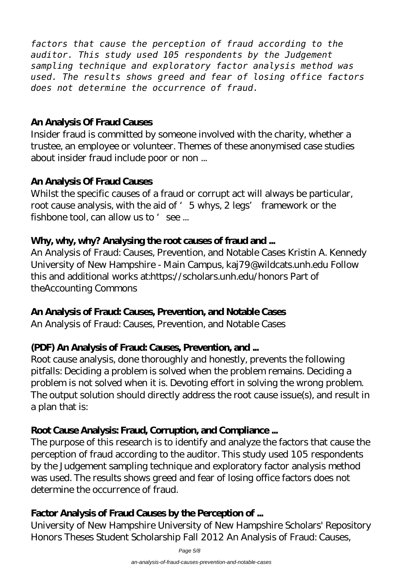*factors that cause the perception of fraud according to the auditor. This study used 105 respondents by the Judgement sampling technique and exploratory factor analysis method was used. The results shows greed and fear of losing office factors does not determine the occurrence of fraud.*

#### **An Analysis Of Fraud Causes**

Insider fraud is committed by someone involved with the charity, whether a trustee, an employee or volunteer. Themes of these anonymised case studies about insider fraud include poor or non ...

#### **An Analysis Of Fraud Causes**

Whilst the specific causes of a fraud or corrupt act will always be particular, root cause analysis, with the aid of '5 whys, 2 legs' framework or the fishbone tool, can allow us to 'see ...

#### **Why, why, why? Analysing the root causes of fraud and ...**

An Analysis of Fraud: Causes, Prevention, and Notable Cases Kristin A. Kennedy University of New Hampshire - Main Campus, kaj79@wildcats.unh.edu Follow this and additional works at:https://scholars.unh.edu/honors Part of theAccounting Commons

#### **An Analysis of Fraud: Causes, Prevention, and Notable Cases**

An Analysis of Fraud: Causes, Prevention, and Notable Cases

#### **(PDF) An Analysis of Fraud: Causes, Prevention, and ...**

Root cause analysis, done thoroughly and honestly, prevents the following pitfalls: Deciding a problem is solved when the problem remains. Deciding a problem is not solved when it is. Devoting effort in solving the wrong problem. The output solution should directly address the root cause issue(s), and result in a plan that is:

## **Root Cause Analysis: Fraud, Corruption, and Compliance ...**

The purpose of this research is to identify and analyze the factors that cause the perception of fraud according to the auditor. This study used 105 respondents by the Judgement sampling technique and exploratory factor analysis method was used. The results shows greed and fear of losing office factors does not determine the occurrence of fraud.

## **Factor Analysis of Fraud Causes by the Perception of ...**

University of New Hampshire University of New Hampshire Scholars' Repository Honors Theses Student Scholarship Fall 2012 An Analysis of Fraud: Causes,

Page 5/8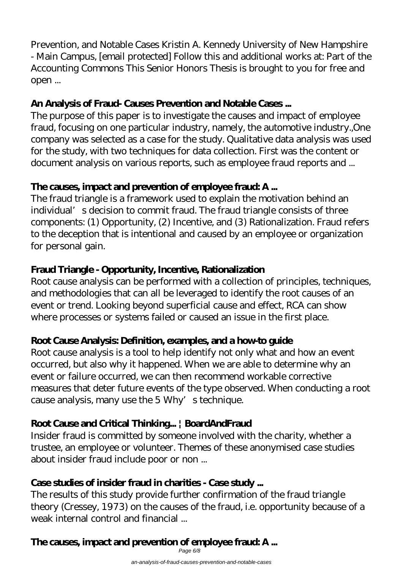Prevention, and Notable Cases Kristin A. Kennedy University of New Hampshire - Main Campus, [email protected] Follow this and additional works at: Part of the Accounting Commons This Senior Honors Thesis is brought to you for free and open ...

#### **An Analysis of Fraud- Causes Prevention and Notable Cases ...**

The purpose of this paper is to investigate the causes and impact of employee fraud, focusing on one particular industry, namely, the automotive industry.,One company was selected as a case for the study. Qualitative data analysis was used for the study, with two techniques for data collection. First was the content or document analysis on various reports, such as employee fraud reports and ...

## **The causes, impact and prevention of employee fraud: A ...**

The fraud triangle is a framework used to explain the motivation behind an individual's decision to commit fraud. The fraud triangle consists of three components: (1) Opportunity, (2) Incentive, and (3) Rationalization. Fraud refers to the deception that is intentional and caused by an employee or organization for personal gain.

## **Fraud Triangle - Opportunity, Incentive, Rationalization**

Root cause analysis can be performed with a collection of principles, techniques, and methodologies that can all be leveraged to identify the root causes of an event or trend. Looking beyond superficial cause and effect, RCA can show where processes or systems failed or caused an issue in the first place.

## **Root Cause Analysis: Definition, examples, and a how-to guide**

Root cause analysis is a tool to help identify not only what and how an event occurred, but also why it happened. When we are able to determine why an event or failure occurred, we can then recommend workable corrective measures that deter future events of the type observed. When conducting a root cause analysis, many use the  $5 \,\mathrm{Why}$  s technique.

## **Root Cause and Critical Thinking... | BoardAndFraud**

Insider fraud is committed by someone involved with the charity, whether a trustee, an employee or volunteer. Themes of these anonymised case studies about insider fraud include poor or non ...

#### **Case studies of insider fraud in charities - Case study ...**

The results of this study provide further confirmation of the fraud triangle theory (Cressey, 1973) on the causes of the fraud, i.e. opportunity because of a weak internal control and financial ...

#### **The causes, impact and prevention of employee fraud: A ...** Page 6/8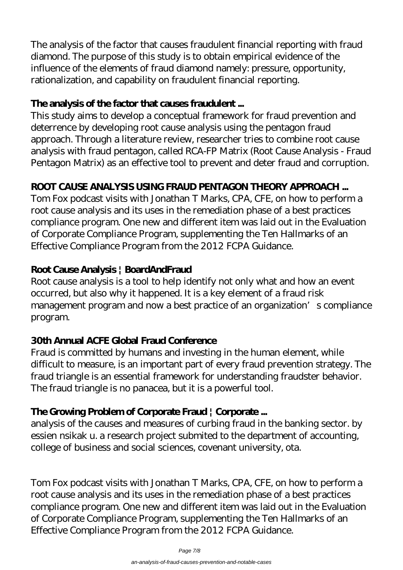The analysis of the factor that causes fraudulent financial reporting with fraud diamond. The purpose of this study is to obtain empirical evidence of the influence of the elements of fraud diamond namely: pressure, opportunity, rationalization, and capability on fraudulent financial reporting.

#### **The analysis of the factor that causes fraudulent ...**

This study aims to develop a conceptual framework for fraud prevention and deterrence by developing root cause analysis using the pentagon fraud approach. Through a literature review, researcher tries to combine root cause analysis with fraud pentagon, called RCA-FP Matrix (Root Cause Analysis - Fraud Pentagon Matrix) as an effective tool to prevent and deter fraud and corruption.

## **ROOT CAUSE ANALYSIS USING FRAUD PENTAGON THEORY APPROACH ...**

Tom Fox podcast visits with Jonathan T Marks, CPA, CFE, on how to perform a root cause analysis and its uses in the remediation phase of a best practices compliance program. One new and different item was laid out in the Evaluation of Corporate Compliance Program, supplementing the Ten Hallmarks of an Effective Compliance Program from the 2012 FCPA Guidance.

## **Root Cause Analysis | BoardAndFraud**

Root cause analysis is a tool to help identify not only what and how an event occurred, but also why it happened. It is a key element of a fraud risk management program and now a best practice of an organization' s compliance program.

## **30th Annual ACFE Global Fraud Conference**

Fraud is committed by humans and investing in the human element, while difficult to measure, is an important part of every fraud prevention strategy. The fraud triangle is an essential framework for understanding fraudster behavior. The fraud triangle is no panacea, but it is a powerful tool.

## **The Growing Problem of Corporate Fraud | Corporate ...**

analysis of the causes and measures of curbing fraud in the banking sector. by essien nsikak u. a research project submited to the department of accounting, college of business and social sciences, covenant university, ota.

Tom Fox podcast visits with Jonathan T Marks, CPA, CFE, on how to perform a root cause analysis and its uses in the remediation phase of a best practices compliance program. One new and different item was laid out in the Evaluation of Corporate Compliance Program, supplementing the Ten Hallmarks of an Effective Compliance Program from the 2012 FCPA Guidance.